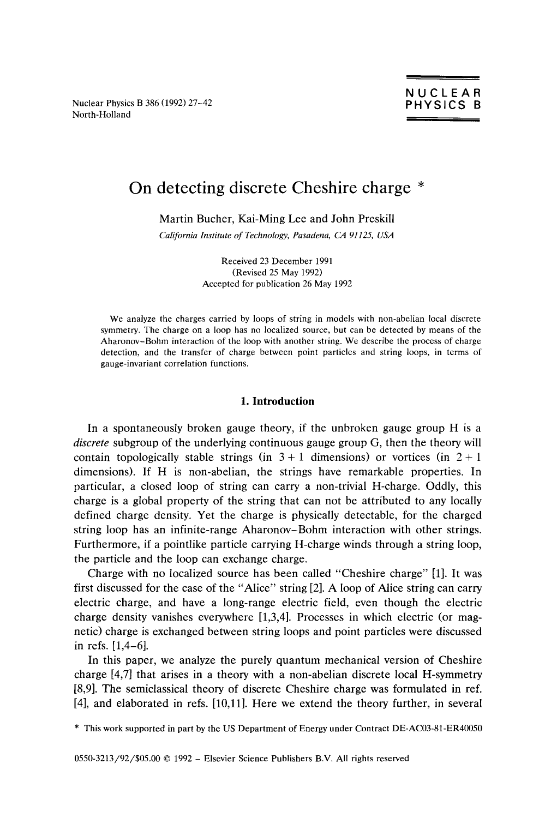Nuclear Physics B 386 (1992) 27-42<br>North-Holland North-Holland \_\_\_\_\_\_\_\_\_\_\_\_\_\_\_\_

# On detecting discrete Cheshire charge \*

Martin Bucher, Kai-Ming Lee and John Preskill

*California Institute of Technology, Pasadena, CA 91125, USA*

Received 23 December 1991 (Revised *25* May 1992) Accepted for publication 26 May 1992

We analyze the charges carried by loops of string in models with non-abelian local discrete symmetry. The charge on a loop has no localized source, but can be detected by means of the Aharonov—Bohm interaction of the loop with another string. We describe the process of charge detection, and the transfer of charge between point particles and string loops, in terms of gauge-invariant correlation functions.

## **1. Introduction**

**In a spontaneously** broken gauge theory, if the unbroken gauge group **H is a** *discrete* subgroup of the underlying continuous gauge group G, then the theory will contain topologically stable strings (in  $3 + 1$  dimensions) or vortices (in  $2 + 1$ dimensions). If H is non-abelian, the strings have remarkable properties. In particular, a closed loop of string can carry a non-trivial H-charge. Oddly, this charge is a global property of the string that can not be attributed to any locally defined charge density. Yet the charge is physically detectable, for the charged string loop has an infinite-range Aharonov—Bohm interaction with other strings. Furthermore, if a pointlike particle carrying H-charge winds through a string loop, the particle and the loop can exchange charge.

Charge with no localized source has been called "Cheshire charge" [1]. It was first discussed for the case of the "Alice" string [21.A loop of Alice string can carry electric charge, and have a long-range electric field, even though the electric charge density vanishes everywhere [1,3,41. Processes in which electric (or magnetic) charge is exchanged between string loops and point particles were discussed in refs. [1,4—6].

In this paper, we analyze the purely quantum mechanical version of Cheshire charge [4,7] that arises in a theory with a non-abelian discrete local H-symmetry [8,9]. The semiclassical theory of discrete Cheshire charge was formulated in ref. [4], and elaborated in refs. [10,111. Here we extend the theory further, in several

\* This work supported in part by the US Department of Energy under Contract DE-ACO3-81-ER40050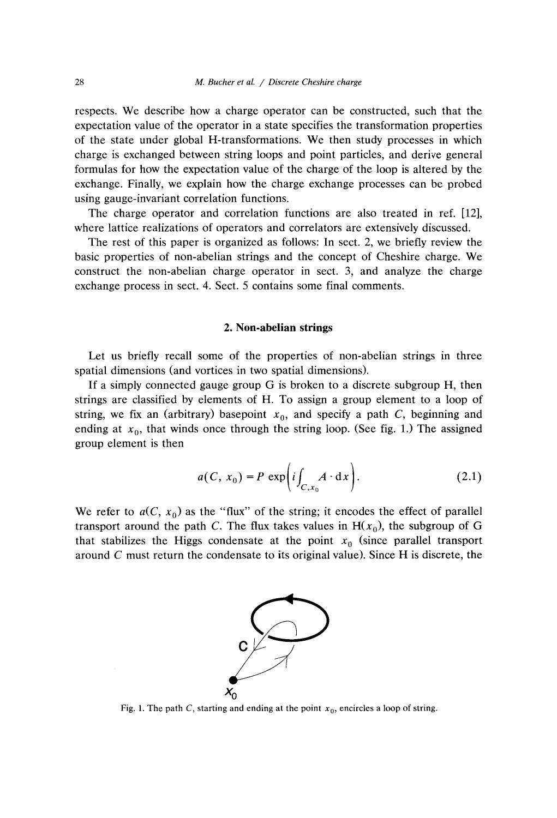respects. We describe how a charge operator can be constructed, such that the expectation value of the operator in a state specifies the transformation properties of the state under global H-transformations. We then study processes in which charge is exchanged between string loops and point particles, and derive general formulas for how the expectation value of the charge of the loop is altered by the exchange. Finally, we explain how the charge exchange processes can be probed using gauge-invariant correlation functions.

The charge operator and correlation functions are also treated in ref. [12], where lattice realizations of operators and correlators are extensively discussed.

The rest of this paper is organized as follows: In sect. 2, we briefly review the basic properties of non-abelian strings and the concept of Cheshire charge. We construct the non-abelian charge operator in sect. 3, and analyze the charge exchange process in sect. 4. Sect. *5* contains some final comments.

## 2. Non-abelian strings

Let us briefly recall some of the properties of non-abelian strings in three spatial dimensions (and vortices in two spatial dimensions).

If a simply connected gauge group G is broken to a discrete subgroup H, then strings are classified by elements of H. To assign a group element to a loop of string, we fix an (arbitrary) basepoint  $x_0$ , and specify a path *C*, beginning and ending at  $x_0$ , that winds once through the string loop. (See fig. 1.) The assigned group element is then

$$
a(C, x_0) = P \exp\left(i \int_{C, x_0} A \cdot dx\right).
$$
 (2.1)

We refer to  $a(C, x_0)$  as the "flux" of the string; it encodes the effect of parallel transport around the path *C*. The flux takes values in  $H(x_0)$ , the subgroup of G that stabilizes the Higgs condensate at the point  $x_0$  (since parallel transport around *C* must return the condensate to its original value). Since H is discrete, the



Fig. 1. The path *C*, starting and ending at the point  $x_0$ , encircles a loop of string.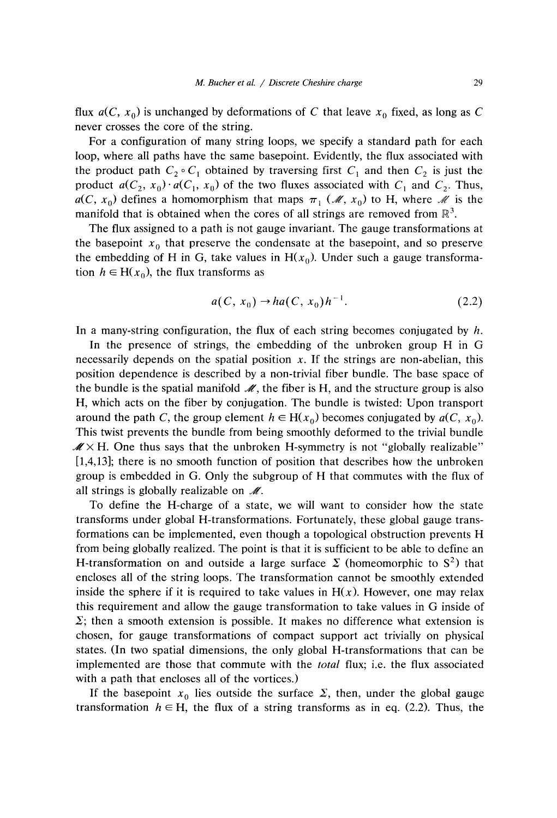flux  $a(C, x_0)$  is unchanged by deformations of *C* that leave  $x_0$  fixed, as long as *C* never crosses the core of the string.

For a configuration of many string loops, we specify a standard path for each loop, where all paths have the same basepoint. Evidently, the flux associated with the product path  $C_2 \circ C_1$  obtained by traversing first  $C_1$  and then  $C_2$  is just the product  $a(C_2, x_0) \cdot a(C_1, x_0)$  of the two fluxes associated with  $C_1$  and  $C_2$ . Thus,  $a(C, x_0)$  defines a homomorphism that maps  $\pi_1$  (*M*,  $x_0$ ) to H, where *M* is the manifold that is obtained when the cores of all strings are removed from  $\mathbb{R}^3$ .

The flux assigned to a path is not gauge invariant. The gauge transformations at the basepoint  $x_0$  that preserve the condensate at the basepoint, and so preserve the embedding of H in G, take values in  $H(x_0)$ . Under such a gauge transformation  $h \in H(x_0)$ , the flux transforms as

$$
a(C, x_0) \to ha(C, x_0)h^{-1}.
$$
 (2.2)

In a many-string configuration, the flux of each string becomes conjugated by *h.*

In the presence of strings, the embedding of the unbroken group H in G necessarily depends on the spatial position  $x$ . If the strings are non-abelian, this position dependence is described by a non-trivial fiber bundle. The base space of the bundle is the spatial manifold  $\mathcal{M}$ , the fiber is H, and the structure group is also H, which acts on the fiber by conjugation. The bundle is twisted: Upon transport around the path *C*, the group element  $h \in H(x_0)$  becomes conjugated by  $a(C, x_0)$ . This twist prevents the bundle from being smoothly deformed to the trivial bundle  $\mathscr{M} \times H$ . One thus says that the unbroken H-symmetry is not "globally realizable" [1,4,13]; there is no smooth function of position that describes how the unbroken group is embedded in 0. Only the subgroup of H that commutes with the flux of all strings is globally realizable on  $\mathcal{M}$ .

To define the H-charge of a state, we will want to consider how the state transforms under global H-transformations. Fortunately, these global gauge transformations can be implemented, even though a topological obstruction prevents H from being globally realized. The point is that it is sufficient to be able to define an H-transformation on and outside a large surface  $\Sigma$  (homeomorphic to  $S^2$ ) that encloses all of the string loops. The transformation cannot be smoothly extended inside the sphere if it is required to take values in  $H(x)$ . However, one may relax this requirement and allow the gauge transformation to take values in G inside of  $\Sigma$ ; then a smooth extension is possible. It makes no difference what extension is chosen, for gauge transformations of compact support act trivially on physical states. (In two spatial dimensions, the only global H-transformations that can be implemented are those that commute with the *total* flux; i.e. the flux associated with a path that encloses all of the vortices.)

If the basepoint  $x_0$  lies outside the surface  $\Sigma$ , then, under the global gauge transformation  $h \in H$ , the flux of a string transforms as in eq. (2.2). Thus, the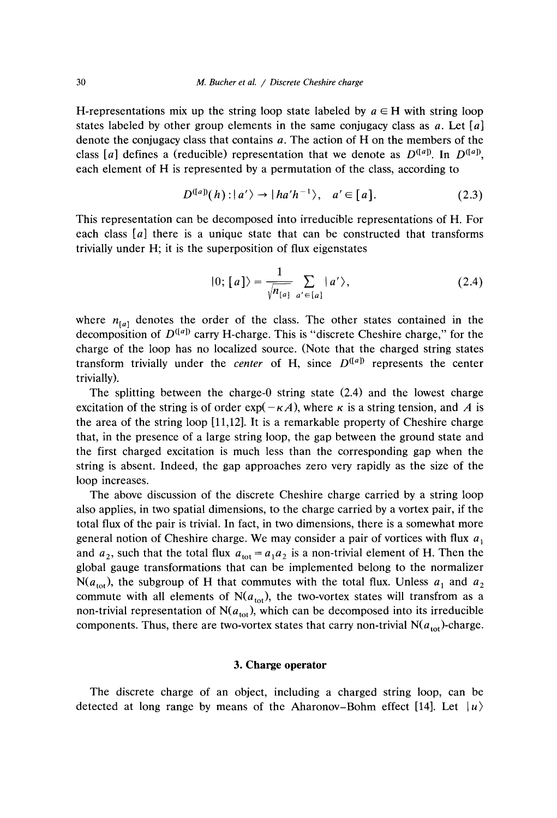H-representations mix up the string loop state labeled by  $a \in H$  with string loop states labeled by other group elements in the same conjugacy class as a. Let *[a]* denote the conjugacy class that contains  $a$ . The action of H on the members of the class [a] defines a (reducible) representation that we denote as  $D^{([a])}$ . In  $D^{([a])}$ , each element of H is represented by a permutation of the class, according to

$$
D^{([a])}(h): |a'\rangle \to |ha'h^{-1}\rangle, \quad a' \in [a]. \tag{2.3}
$$

This representation can be decomposed into irreducible representations of H. For each class *[a]* there is a unique state that can be constructed that transforms trivially under H; it is the superposition of flux eigenstates

$$
|0; [a]\rangle = \frac{1}{\sqrt{n_{[a]}}} \sum_{a' \in [a]} |a'\rangle, \qquad (2.4)
$$

where  $n_{[a]}$  denotes the order of the class. The other states contained in the decomposition of  $D^{([a])}$  carry H-charge. This is "discrete Cheshire charge," for the charge of the ioop has no localized source. (Note that the charged string states transform trivially under the *center* of H, since  $D^{([a])}$  represents the center trivially).

The splitting between the charge-0 string state (2.4) and the lowest charge excitation of the string is of order  $exp(-\kappa A)$ , where  $\kappa$  is a string tension, and A is the area of the string loop [11,12]. It is a remarkable property of Cheshire charge that, in the presence of a large string loop, the gap between the ground state and the first charged excitation is much less than the corresponding gap when the string is absent. Indeed, the gap approaches zero very rapidly as the size of the loop increases.

The above discussion of the discrete Cheshire charge carried by a string loop also applies, in two spatial dimensions, to the charge carried by a vortex pair, if the total flux of the pair is trivial. In fact, in two dimensions, there is a somewhat more general notion of Cheshire charge. We may consider a pair of vortices with flux  $a_1$ and  $a_2$ , such that the total flux  $a_{\text{tot}} = a_1 a_2$  is a non-trivial element of H. Then the global gauge transformations that can be implemented belong to the normalizer  $N(a_{\text{tot}})$ , the subgroup of H that commutes with the total flux. Unless  $a_1$  and  $a_2$ commute with all elements of  $N(a_{tot})$ , the two-vortex states will transfrom as a non-trivial representation of  $N(a_{\text{tot}})$ , which can be decomposed into its irreducible components. Thus, there are two-vortex states that carry non-trivial  $N(a_{\text{tot}})$ -charge.

#### **3. Charge operator**

The discrete charge of an object, including a charged string loop, can be detected at long range by means of the Aharonov–Bohm effect [14]. Let  $|u\rangle$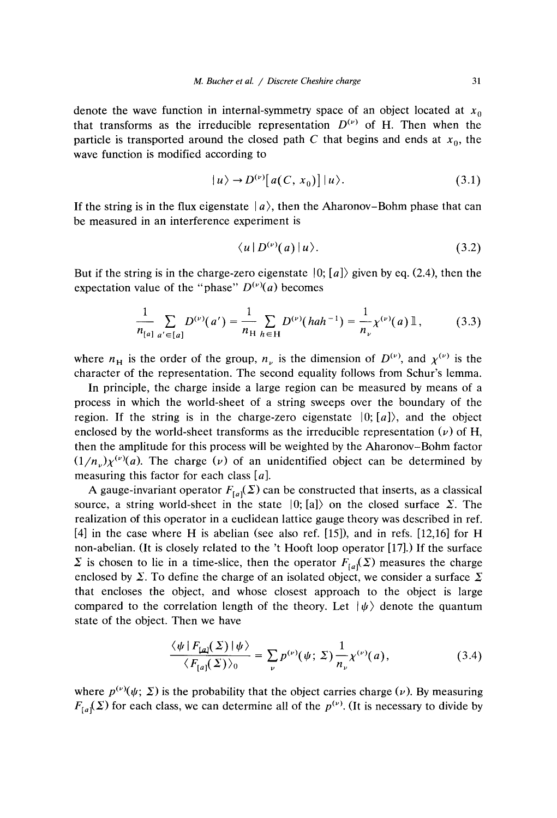denote the wave function in internal-symmetry space of an object located at  $x_0$ that transforms as the irreducible representation  $D^{(\nu)}$  of H. Then when the particle is transported around the closed path *C* that begins and ends at  $x_0$ , the wave function is modified according to

$$
|u\rangle \to D^{(\nu)}[a(C, x_0)] |u\rangle. \tag{3.1}
$$

If the string is in the flux eigenstate  $|a\rangle$ , then the Aharonov–Bohm phase that can be measured in an interference experiment is

$$
\langle u | D^{(\nu)}(a) | u \rangle. \tag{3.2}
$$

But if the string is in the charge-zero eigenstate  $|0; [a]\rangle$  given by eq. (2.4), then the expectation value of the "phase"  $D^{(\nu)}(a)$  becomes

$$
\frac{1}{n_{[a]}}\sum_{a'\in[a]}D^{(\nu)}(a')=\frac{1}{n_{\rm H}}\sum_{h\in\rm H}D^{(\nu)}(hah^{-1})=\frac{1}{n_{\nu}}\chi^{(\nu)}(a)\,\mathbb{I}\,,\qquad(3.3)
$$

where  $n_H$  is the order of the group,  $n_v$  is the dimension of  $D^{(v)}$ , and  $\chi^{(v)}$  is the character of the representation. The second equality follows from Schur's lemma.

In principle, the charge inside a large region can be measured by means of a process in which the world-sheet of a string sweeps over the boundary of the region. If the string is in the charge-zero eigenstate  $|0; [a]\rangle$ , and the object enclosed by the world-sheet transforms as the irreducible representation  $(\nu)$  of H, then the amplitude for this process will be weighted by the Aharonov—Bohm factor  $(1/n_y)\chi^{(\nu)}(a)$ . The charge (v) of an unidentified object can be determined by measuring this factor for each class *[a].*

A gauge-invariant operator  $F_{[a]}(\Sigma)$  can be constructed that inserts, as a classical source, a string world-sheet in the state  $|0; \text{a}]$  on the closed surface  $\Sigma$ . The realization of this operator in a euclidean lattice gauge theory was described in ref. [4] in the case where H is abelian (see also ref. *[15]),* and in refs. [12,16] for H non-abelian. (It is closely related to the 't Hooft loop operator [17].) If the surface  $\Sigma$  is chosen to lie in a time-slice, then the operator  $F_{Ia}(\Sigma)$  measures the charge enclosed by  $\Sigma$ . To define the charge of an isolated object, we consider a surface  $\Sigma$ that encloses the object, and whose closest approach to the object is large compared to the correlation length of the theory. Let  $|\psi\rangle$  denote the quantum state of the object. Then we have

$$
\frac{\langle \psi | F_{\text{L}a}(\Sigma) | \psi \rangle}{\langle F_{\text{L}a}(\Sigma) \rangle_0} = \sum_{\nu} p^{(\nu)}(\psi; \Sigma) \frac{1}{n_{\nu}} \chi^{(\nu)}(a), \tag{3.4}
$$

where  $p^{(\nu)}(\psi; \Sigma)$  is the probability that the object carries charge (v). By measuring  $F_{\lbrack a}(\Sigma)$  for each class, we can determine all of the  $p^{(\nu)}$ . (It is necessary to divide by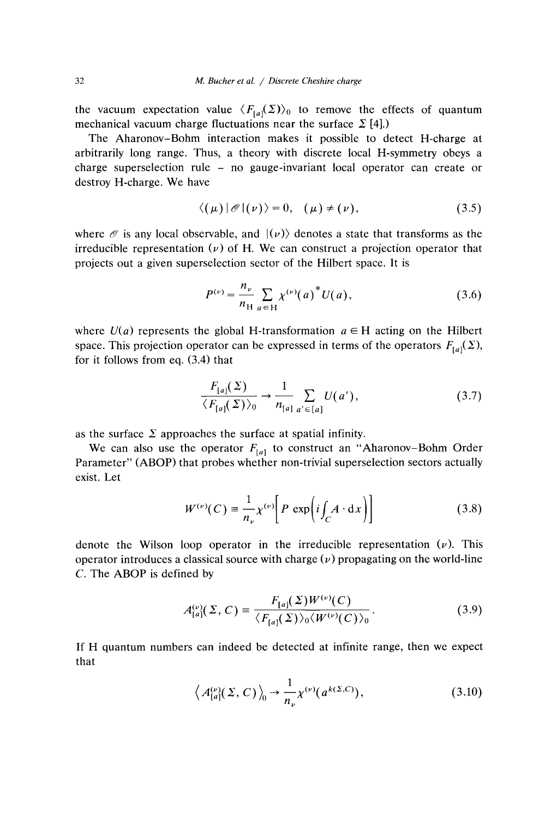the vacuum expectation value  $\langle F_{[a]}(\Sigma)\rangle_0$  to remove the effects of quantum mechanical vacuum charge fluctuations near the surface  $\sum$  [4].)

The Aharonov—Bohm interaction makes it possible to detect H-charge at arbitrarily long range. Thus, a theory with discrete local H-symmetry obeys a charge superselection rule — no gauge-invariant local operator can create or destroy H-charge. We have

$$
\langle (\mu) | \mathcal{O} | (\nu) \rangle = 0, \quad (\mu) \neq (\nu), \tag{3.5}
$$

where  $\mathcal O$  is any local observable, and  $|(\nu)\rangle$  denotes a state that transforms as the irreducible representation  $(\nu)$  of H. We can construct a projection operator that projects out a given superselection sector of the Hilbert space. It is

$$
P^{(\nu)} = \frac{n_{\nu}}{n_{\rm H}} \sum_{a \in {\rm H}} \chi^{(\nu)}(a)^* U(a), \qquad (3.6)
$$

where  $U(a)$  represents the global H-transformation  $a \in H$  acting on the Hilbert space. This projection operator can be expressed in terms of the operators  $F_{[a]}(\Sigma)$ , for it follows from eq. (3.4) that

$$
\frac{F_{[a]}(\Sigma)}{\langle F_{[a]}(\Sigma)\rangle_0} \to \frac{1}{n_{[a]}} \sum_{a' \in [a]} U(a'),\tag{3.7}
$$

as the surface  $\Sigma$  approaches the surface at spatial infinity.

We can also use the operator  $F_{[a]}$  to construct an "Aharonov-Bohm Order" Parameter" (ABOP) that probes whether non-trivial superselection sectors actually exist. Let

$$
W^{(\nu)}(C) = \frac{1}{n_{\nu}} \chi^{(\nu)} \left[ P \exp \left( i \int_C A \cdot dx \right) \right]
$$
 (3.8)

denote the Wilson loop operator in the irreducible representation  $(\nu)$ . This operator introduces a classical source with charge *(v)* propagating on the world-line *C.* The ABOP is defined by

$$
A_{[a]}^{(\nu)}(\Sigma, C) = \frac{F_{[a]}(\Sigma)W^{(\nu)}(C)}{\langle F_{[a]}(\Sigma)\rangle_0 \langle W^{(\nu)}(C)\rangle_0}.
$$
 (3.9)

If H quantum numbers can indeed be detected at infinite range, then we expect that

$$
\left\langle A_{[a]}^{(\nu)}(\Sigma, C) \right\rangle_0 \to \frac{1}{n_{\nu}} \chi^{(\nu)}(a^{k(\Sigma, C)}), \tag{3.10}
$$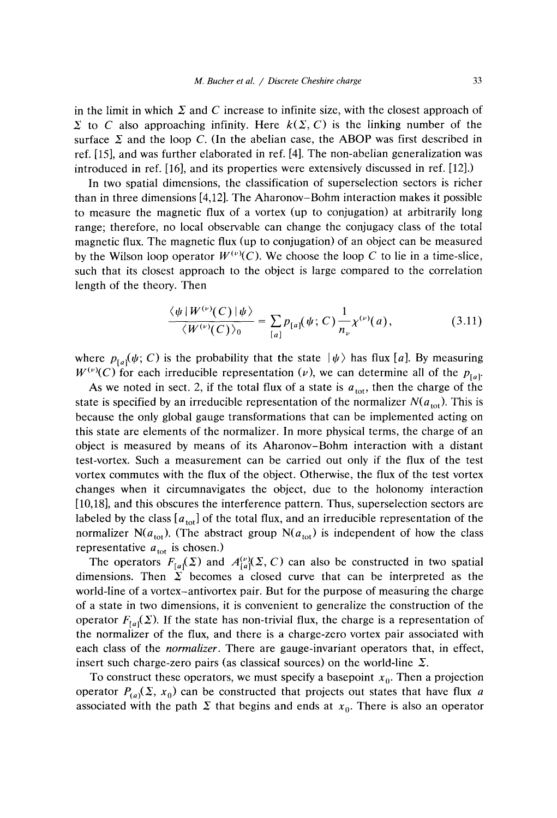in the limit in which  $\Sigma$  and C increase to infinite size, with the closest approach of  $\Sigma$  to *C* also approaching infinity. Here  $k(\Sigma, C)$  is the linking number of the surface  $\Sigma$  and the loop *C*. (In the abelian case, the ABOP was first described in ref. *[15],* and was further elaborated in ref. [4]. The non-abelian generalization was introduced in ref. [16], and its properties were extensively discussed in ref. [12].)

In two spatial dimensions, the classification of superselection sectors is richer than in three dimensions [4,12].The Aharonov—Bohm interaction makes it possible to measure the magnetic flux of a vortex (up to conjugation) at arbitrarily long range; therefore, no local observable can change the conjugacy class of the total magnetic flux. The magnetic flux (up to conjugation) of an object can be measured by the Wilson loop operator  $W^{(\nu)}(C)$ . We choose the loop C to lie in a time-slice, such that its closest approach to the object is large compared to the correlation length of the theory. Then

$$
\frac{\langle \psi | W^{(\nu)}(C) | \psi \rangle}{\langle W^{(\nu)}(C) \rangle_0} = \sum_{[a]} p_{[a]}(\psi; C) \frac{1}{n_{\nu}} \chi^{(\nu)}(a), \tag{3.11}
$$

where  $p_{[a]}(\psi; C)$  is the probability that the state  $|\psi\rangle$  has flux [a]. By measuring  $W^{(\nu)}(C)$  for each irreducible representation (v), we can determine all of the  $p_{[\alpha]}$ .

As we noted in sect. 2, if the total flux of a state is  $a_{\text{tot}}$ , then the charge of the state is specified by an irreducible representation of the normalizer  $N(a_{\text{tot}})$ . This is because the only global gauge transformations that can be implemented acting on this state are elements of the normalizer. In more physical terms, the charge of an object is measured by means of its Aharonov—Bohm interaction with a distant test-vortex. Such a measurement can be carried out only if the flux of the test vortex commutes with the flux of the object. Otherwise, the flux of the test vortex changes when it circumnavigates the object, due to the holonomy interaction [10,18], and this obscures the interference pattern. Thus, superselection sectors are labeled by the class  $[a_{\text{tot}}]$  of the total flux, and an irreducible representation of the normalizer N( $a_{\text{tot}}$ ). (The abstract group N( $a_{\text{tot}}$ ) is independent of how the class representative  $a_{\text{tot}}$  is chosen.)

The operators  $F_{[a]}(\Sigma)$  and  $A_{[a]}^{(\nu)}(\Sigma, C)$  can also be constructed in two spatial dimensions. Then  $\Sigma$  becomes a closed curve that can be interpreted as the world-line of a vortex—antivortex pair. But for the purpose of measuring the charge of a state in two dimensions, it is convenient to generalize the construction of the operator  $F_{[a]}(\Sigma)$ . If the state has non-trivial flux, the charge is a representation of the normalizer of the flux, and there is a charge-zero vortex pair associated with each class of the *normalizer.* There are gauge-invariant operators that, in effect, insert such charge-zero pairs (as classical sources) on the world-line  $\Sigma$ .

To construct these operators, we must specify a basepoint  $x_0$ . Then a projection operator  $P_{(a)}(\Sigma, x_0)$  can be constructed that projects out states that have flux *a* associated with the path  $\Sigma$  that begins and ends at  $x_0$ . There is also an operator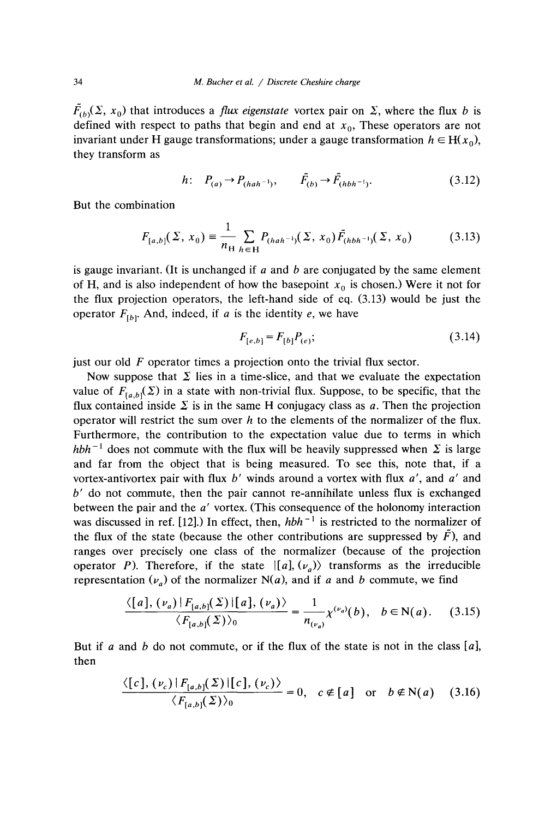$F_{(b)}(\Sigma, x_0)$  that introduces a *flux eigenstate* vortex pair on  $\Sigma$ , where the flux *b* is defined with respect to paths that begin and end at  $x_0$ , These operators are not invariant under H gauge transformations; under a gauge transformation  $h \in H(x_0)$ , they transform as

$$
h: P_{(a)} \to P_{(hah^{-1})}, \qquad \tilde{F}_{(b)} \to \tilde{F}_{(hbh^{-1})}. \tag{3.12}
$$

But the combination

$$
F_{[a,b]}(\Sigma, x_0) = \frac{1}{n_{\rm H}} \sum_{h \in \rm H} P_{(hah^{-1})}(\Sigma, x_0) \tilde{F}_{(hbh^{-1})}(\Sigma, x_0)
$$
(3.13)

is gauge invariant. (It is unchanged if *a* and *b* are conjugated by the same element of H, and is also independent of how the basepoint  $x_0$  is chosen.) Were it not for the flux projection operators, the left-hand side of eq. (3.13) would be just the operator  $F_{(b)}$ . And, indeed, if *a* is the identity *e*, we have

$$
F_{[e,b]} = F_{[b]}P_{(e)};
$$
\n(3.14)

just our old *F* operator times a projection onto the trivial flux sector.

Now suppose that  $\Sigma$  lies in a time-slice, and that we evaluate the expectation value of  $F_{[a,b]}(\Sigma)$  in a state with non-trivial flux. Suppose, to be specific, that the flux contained inside  $\Sigma$  is in the same H conjugacy class as *a*. Then the projection operator will restrict the sum over *h* to the elements of the normalizer of the flux. Furthermore, the contribution to the expectation value due to terms in which *hbh*<sup> $-1$ </sup> does not commute with the flux will be heavily suppressed when  $\Sigma$  is large and far from the object that is being measured. To see this, note that, if a vortex-antivortex pair with flux *b'* winds around a vortex with flux *a',* and *a'* and *b'* do not commute, then the pair cannot re-annihilate unless flux is exchanged between the pair and the *a'* vortex. (This consequence of the holonomy interaction was discussed in ref.  $[12]$ .) In effect, then,  $h b h^{-1}$  is restricted to the normalizer of the flux of the state (because the other contributions are suppressed by  $\bar{F}$ ), and ranges over precisely one class of the normalizer (because of the projection operator *P*). Therefore, if the state  $\vert [a], (\nu_a) \rangle$  transforms as the irreducible representation  $(\nu_a)$  of the normalizer N(a), and if a and b commute, we find

$$
\frac{\langle [a], (\nu_a) | F_{[a,b]}(\Sigma) | [a], (\nu_a) \rangle}{\langle F_{[a,b]}(\Sigma) \rangle_0} = \frac{1}{n_{(\nu_a)}} \chi^{(\nu_a)}(b), \quad b \in \mathbb{N}(a). \tag{3.15}
$$

But if *a* and *b* do not commute, or if the flux of the state is not in the class *[a],* then

$$
\frac{\langle [c], (\nu_c) | F_{[a,b]}(\Sigma) | [c], (\nu_c) \rangle}{\langle F_{[a,b]}(\Sigma) \rangle_0} = 0, \quad c \notin [a] \quad \text{or} \quad b \notin N(a) \quad (3.16)
$$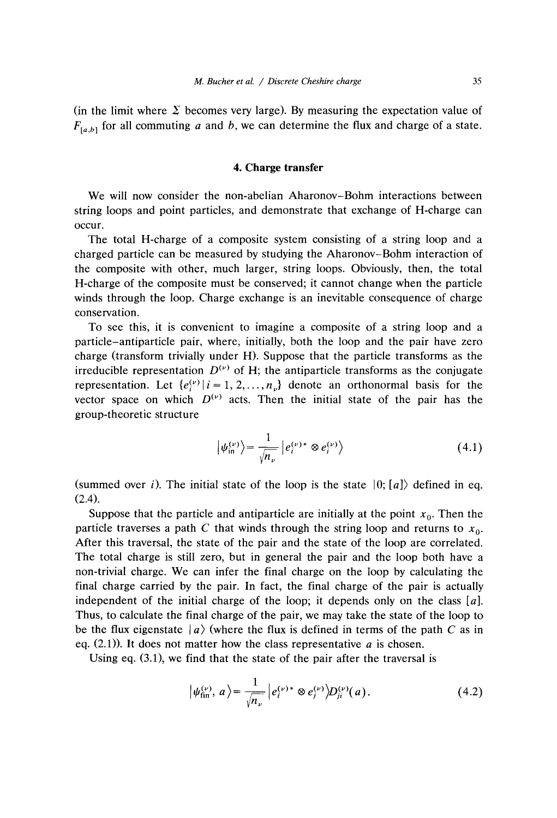(in the limit where  $\Sigma$  becomes very large). By measuring the expectation value of  $F_{[a,b]}$  for all commuting *a* and *b*, we can determine the flux and charge of a state.

## *4.* Charge transfer

We will now consider the non-abelian Aharonov—Bohm interactions between string loops and point particles, and demonstrate that exchange of H-charge can occur.

The total H-charge of a composite system consisting of a string loop and a charged particle can be measured by studying the Aharonov—Bohm interaction of the composite with other, much larger, string loops. Obviously, then, the total H-charge of the composite must be conserved; it cannot change when the particle winds through the loop. Charge exchange is an inevitable consequence of charge conservation.

To see this, it is convenient to imagine a composite of a string loop and a particle—antiparticle pair, where, initially, both the loop and the pair have zero charge (transform trivially under H). Suppose that the particle transforms as the irreducible representation  $D^{(\nu)}$  of H; the antiparticle transforms as the conjugate representation. Let  ${e^{(\nu)}_i | i = 1, 2, ..., n_{\nu}}$  denote an orthonormal basis for the vector space on which  $D^{(\nu)}$  acts. Then the initial state of the pair has the group-theoretic structure

$$
\left|\psi_{\text{in}}^{(\nu)}\right\rangle = \frac{1}{\sqrt{n_{\nu}}} \left|e_i^{(\nu)*} \otimes e_i^{(\nu)}\right\rangle \tag{4.1}
$$

(summed over *i*). The initial state of the loop is the state  $|0; a|\rangle$  defined in eq. (2.4).

Suppose that the particle and antiparticle are initially at the point  $x_0$ . Then the particle traverses a path C that winds through the string loop and returns to  $x_0$ . After this traversal, the state of the pair and the state of the loop are correlated. The total charge is still zero, but in general the pair and the loop both have a non-trivial charge. We can infer the final charge on the loop by calculating the final charge carried by the pair. In fact, the final charge of the pair is actually independent of the initial charge of the loop; it depends only on the class *[a].* Thus, to calculate the final charge of the pair, we may take the state of the loop to be the flux eigenstate  $|a\rangle$  (where the flux is defined in terms of the path *C* as in eq. (2.1)). It does not matter how the class representative *a* is chosen.

Using eq. (3.1), we find that the state of the pair after the traversal is

$$
\left|\psi_{\text{fin}}^{(\nu)},\,a\right\rangle=\frac{1}{\sqrt{n_{\nu}}}\left|e_{i}^{(\nu)*}\otimes e_{j}^{(\nu)}\right\rangle D_{ji}^{(\nu)}(a). \tag{4.2}
$$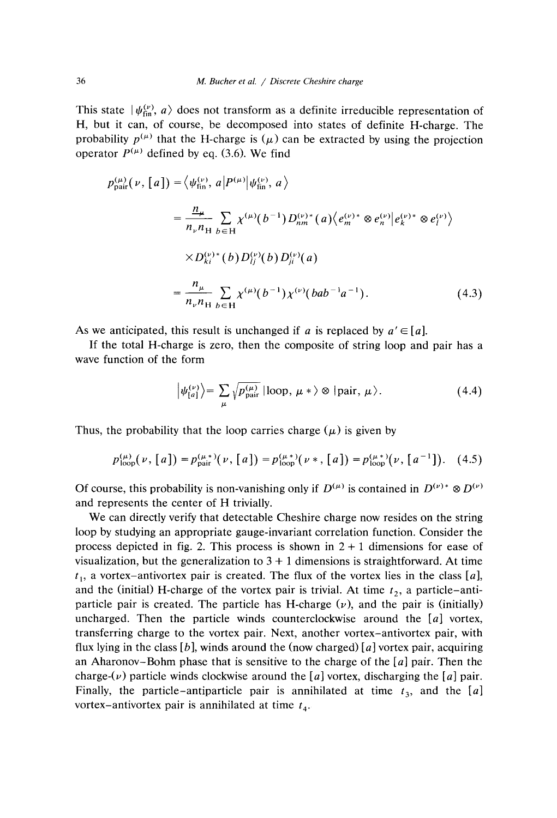This state  $|\psi_{fin}^{(v)}, a\rangle$  does not transform as a definite irreducible representation of H, but it can, of course, be decomposed into states of definite H-charge. The probability  $p^{(\mu)}$  that the H-charge is ( $\mu$ ) can be extracted by using the projection operator  $P^{(\mu)}$  defined by eq. (3.6). We find

$$
p_{\text{pair}}^{(\mu)}(\nu, [a]) = \langle \psi_{\text{fin}}^{(\nu)}, a | P^{(\mu)} | \psi_{\text{fin}}^{(\nu)}, a \rangle
$$
  
\n
$$
= \frac{n_{\mu}}{n_{\nu} n_{\text{H}}} \sum_{b \in \text{H}} \chi^{(\mu)}(b^{-1}) D_{nm}^{(\nu)*}(a) \langle e_m^{(\nu)*} \otimes e_n^{(\nu)} | e_k^{(\nu)*} \otimes e_l^{(\nu)} \rangle
$$
  
\n
$$
\times D_{ki}^{(\nu)*}(b) D_{lj}^{(\nu)}(b) D_{ji}^{(\nu)}(a)
$$
  
\n
$$
= \frac{n_{\mu}}{n_{\nu} n_{\text{H}}} \sum_{b \in \text{H}} \chi^{(\mu)}(b^{-1}) \chi^{(\nu)}(bab^{-1}a^{-1}). \tag{4.3}
$$

As we anticipated, this result is unchanged if *a* is replaced by  $a' \in [a]$ .

If the total H-charge is zero, then the composite of string loop and pair has a wave function of the form

$$
\left|\psi_{[a]}^{(\nu)}\right\rangle = \sum_{\mu} \sqrt{p_{\text{pair}}^{(\mu)}} \left|\text{loop, } \mu * \right\rangle \otimes \left|\text{pair, } \mu \right\rangle. \tag{4.4}
$$

Thus, the probability that the loop carries charge  $(\mu)$  is given by

$$
p_{\text{loop}}^{(\mu)}(\nu, [a]) = p_{\text{pair}}^{(\mu, *)}(\nu, [a]) = p_{\text{loop}}^{(\mu, *)}(\nu, [a]) = p_{\text{loop}}^{(\mu, *)}(\nu, [a^{-1}]). \quad (4.5)
$$

Of course, this probability is non-vanishing only if  $D^{(\mu)}$  is is contained in  $D^{(\nu)*}$   $\otimes$ and represents the center of H trivially.

We can directly verify that detectable Cheshire charge now resides on the string loop by studying an appropriate gauge-invariant correlation function. Consider the process depicted in fig. 2. This process is shown in  $2 + 1$  dimensions for ease of visualization, but the generalization to  $3 + 1$  dimensions is straightforward. At time  $t<sub>1</sub>$ , a vortex–antivortex pair is created. The flux of the vortex lies in the class [a], and the (initial) H-charge of the vortex pair is trivial. At time *t*  $\tau_2$ , a particle—antiparticle pair is created. The particle has H-charge  $(\nu)$ , and the pair is (initially) uncharged. Then the particle winds counterclockwise around the *[a]* vortex, transferring charge to the vortex pair. Next, another vortex—antivortex pair, with flux lying in the class  $[b]$ , winds around the (now charged)  $[a]$  vortex pair, acquiring an Aharonov—Bohm phase that is sensitive to the charge of the *[a]* pair. Then the charge- $(v)$  particle winds clockwise around the [a] vortex, discharging the [a] pair. Finally, the particle–antiparticle pair is annihilated at time  $t<sub>3</sub>$ , and the [a] vortex–antivortex pair is annihilated at time  $t_4$ .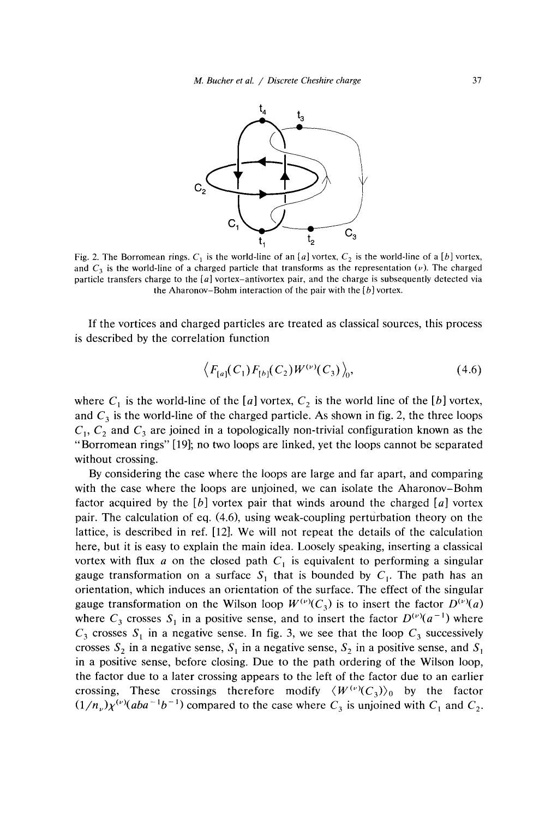

Fig. 2. The Borromean rings.  $C_1$  is the world-line of an *[a]* vortex,  $C_2$  is the world-line of a *[b]* vortex, and  $C_3$  is the world-line of a charged particle that transforms as the representation (v). The charged and *C1* is the world-line of a charged particle that transforms as the representation **(u).** The charged particle transfers charge to the *[a]* vortex—antivortex pair, and the charge is subsequently detected via the Aharonov–Bohm interaction of the pair with the *[b]* vortex.

If the vortices and charged particles are treated as classical sources, this process is described by the correlation function

$$
\left\langle F_{[a]}(C_1)F_{[b]}(C_2)W^{(\nu)}(C_3)\right\rangle_0, \tag{4.6}
$$

where  $C_1$  is the world-line of the [a] vortex,  $C_2$  is the world line of the [b] vortex, and  $C_3$  is the world-line of the charged particle. As shown in fig. 2, the three loops  $C_1$ ,  $C_2$  and  $C_3$  are joined in a topologically non-trivial configuration known as the "Borromean rings" [19]; no two ioops are linked, yet the loops cannot be separated without crossing.

By considering the case where the loops are large and far apart, and comparing with the case where the loops are unjoined, we can isolate the Aharonov—Bohm factor acquired by the *[b]* vortex pair that winds around the charged [a] vortex pair. The calculation of eq. (4.6), using weak-coupling perturbation theory on the lattice, is described in ref. [12]. We will not repeat the details of the calculation here, but it is easy to explain the main idea. Loosely speaking, inserting a classical vortex with flux *a* on the closed path  $C_1$  is equivalent to performing a singular gauge transformation on a surface  $S_1$  that is bounded by  $C_1$ . The path has an orientation, which induces an orientation of the surface. The effect of the singular gauge transformation on the Wilson loop  $W^{(\nu)}(C_3)$  is to insert the factor  $D^{(\nu)}(a)$ where  $C_3$  crosses  $S_1$  in a positive sense, and to insert the factor  $D^{(\nu)}(a^{-1})$  where  $C_3$  crosses  $S_1$  in a negative sense. In fig. 3, we see that the loop  $C_3$  successively crosses  $S_2$  in a negative sense,  $S_1$  in a negative sense,  $S_2$  in a positive sense, and  $S_1$ in a positive sense, before closing. Due to the path ordering of the Wilson loop, the factor due to a later crossing appears to the left of the factor due to an earlier crossing, These crossings therefore modify  $\langle W^{(\nu)}(C_3) \rangle_0$  by the factor  $(1/n)\gamma^{(\nu)}(abc^{-1}b^{-1})$  compared to the case where *C* is uniciped with *C* and *C*  $(1/n_{\nu})\chi^{(\nu)}(aba^{-1}b^{-1})$  compared to the case where  $C_3$  is unjoined with  $C_1$  and  $C_2$ .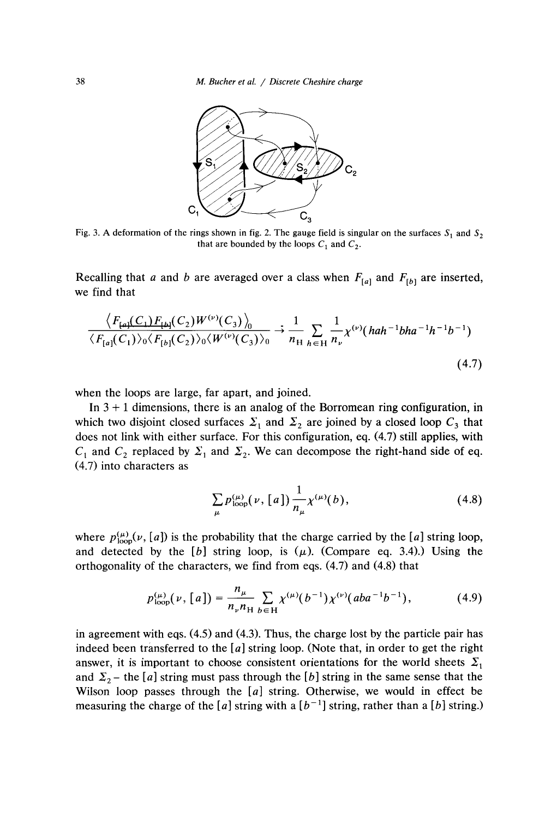

Fig. 3. A deformation of the rings shown in fig. 2. The gauge field is singular on the surfaces  $S_1$  and  $S_2$ that are bounded by the loops  $C_1$  and  $C_2$ .

Recalling that *a* and *b* are averaged over a class when  $F_{[a]}$  and  $F_{[b]}$  are inserted, we find that

$$
\frac{\langle F_{\text{[a]}}(C_1)F_{\text{[b]}}(C_2)W^{(\nu)}(C_3)\rangle_0}{\langle F_{\text{[a]}}(C_1)\rangle_0\langle F_{\text{[b]}}(C_2)\rangle_0\langle W^{(\nu)}(C_3)\rangle_0} \to \frac{1}{n_{\text{H}}} \sum_{h \in \text{H}} \frac{1}{n_{\nu}} \chi^{(\nu)}(\text{hah}^{-1}\text{bha}^{-1}h^{-1}b^{-1})
$$
\n(4.7)

when the loops are large, far apart, and joined.

In  $3 + 1$  dimensions, there is an analog of the Borromean ring configuration, in which two disjoint closed surfaces  $\Sigma_1$  and  $\Sigma_2$  are joined by a closed loop  $C_3$  that does not link with either surface. For this configuration, eq. (4.7) still applies, with  $C_1$  and  $C_2$  replaced by  $\Sigma_1$  and  $\Sigma_2$ . We can decompose the right-hand side of eq. (4.7) into characters as

$$
\sum_{\mu} p_{\text{loop}}^{(\mu)}(\nu, [a]) \frac{1}{n_{\mu}} \chi^{(\mu)}(b), \tag{4.8}
$$

where  $p_{\text{loop}}^{(\mu)}(\nu,[a])$  is the probability that the charge carried by the [a] string loop, and detected by the  $[b]$  string loop, is  $(\mu)$ . (Compare eq. 3.4).) Using the orthogonality of the characters, we find from eqs. (4.7) and (4.8) that

$$
p_{\text{loop}}^{(\mu)}(\nu, [a]) = \frac{n_{\mu}}{n_{\nu}n_{\text{H}}} \sum_{b \in \text{H}} \chi^{(\mu)}(b^{-1}) \chi^{(\nu)}(aba^{-1}b^{-1}), \tag{4.9}
$$

in agreement with eqs. *(4.5)* and (4.3). Thus, the charge lost by the particle pair has indeed been transferred to the  $[a]$  string loop. (Note that, in order to get the right answer, it is important to choose consistent orientations for the world sheets  $\Sigma_1$ and  $\Sigma_2$  – the [a] string must pass through the [b] string in the same sense that the Wilson loop passes through the *[a]* string. Otherwise, we would in effect be measuring the charge of the  $[a]$  string with a  $[b^{-1}]$  string, rather than a  $[b]$  string.)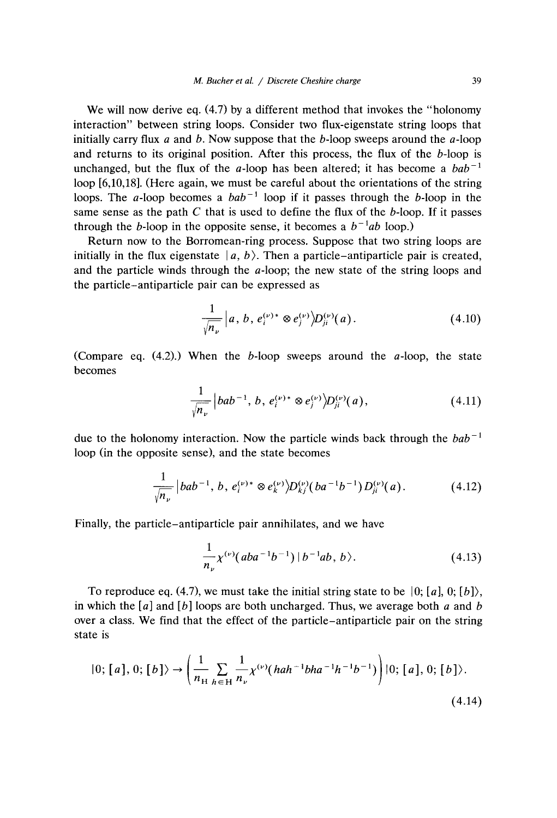We will now derive eq. (4.7) by a different method that invokes the "holonomy" interaction" between string loops. Consider two flux-eigenstate string loops that initially carry flux *a* and *b.* Now suppose that the b-loop sweeps around the a-loop and returns to its original position. After this process, the flux of the b-loop is unchanged, but the flux of the a-loop has been altered; it has become a  $bab^{-1}$ loop [6,10,18]. (Here again, we must be careful about the orientations of the string loops. The *a*-loop becomes a  $bab^{-1}$  loop if it passes through the *b*-loop in the same sense as the path  $C$  that is used to define the flux of the  $b$ -loop. If it passes through the *b*-loop in the opposite sense, it becomes a  $b^{-1}ab$  loop.)

Return now to the Borromean-ring process. Suppose that two string loops are initially in the flux eigenstate  $|a, b\rangle$ . Then a particle–antiparticle pair is created, and the particle winds through the a-loop; the new state of the string loops and the particle—antiparticle pair can be expressed as

$$
\frac{1}{\sqrt{n_{\nu}}} |a, b, e_i^{(\nu)*} \otimes e_j^{(\nu)} \rangle D_{ji}^{(\nu)}(a). \qquad (4.10)
$$

(Compare eq.  $(4.2)$ .) When the b-loop sweeps around the a-loop, the state becomes

$$
\frac{1}{\sqrt{n_{\nu}}} |bab^{-1}, b, e_i^{(\nu)*} \otimes e_j^{(\nu)} \rangle D_{ji}^{(\nu)}(a), \qquad (4.11)
$$

due to the holonomy interaction. Now the particle winds back through the *bab 1* loop (in the opposite sense), and the state becomes

$$
\frac{1}{\sqrt{n_{\nu}}} |bab^{-1}, b, e_i^{(\nu)*} \otimes e_k^{(\nu)}\rangle D_{kj}^{(\nu)}(ba^{-1}b^{-1}) D_{ji}^{(\nu)}(a). \tag{4.12}
$$

Finally, the particle—antiparticle pair annihilates, and we have

$$
\frac{1}{n_{\nu}}\chi^{(\nu)}(aba^{-1}b^{-1}) | b^{-1}ab, b \rangle.
$$
 (4.13)

To reproduce eq. (4.7), we must take the initial string state to be  $\vert 0; [a], 0; [b] \rangle$ , in which the  $\lceil a \rceil$  and  $\lceil b \rceil$  loops are both uncharged. Thus, we average both a and *b* over a class. We find that the effect of the particle—antiparticle pair on the string over a class. We find that the effect of the particle–antiparticle pair on the string state is

$$
|0; [a], 0; [b] \rangle \rightarrow \left(\frac{1}{n_{\rm H}} \sum_{h \in H} \frac{1}{n_{\nu}} \chi^{(\nu)}(hah^{-1}bha^{-1}h^{-1}b^{-1})\right) |0; [a], 0; [b] \rangle.
$$
\n(4.14)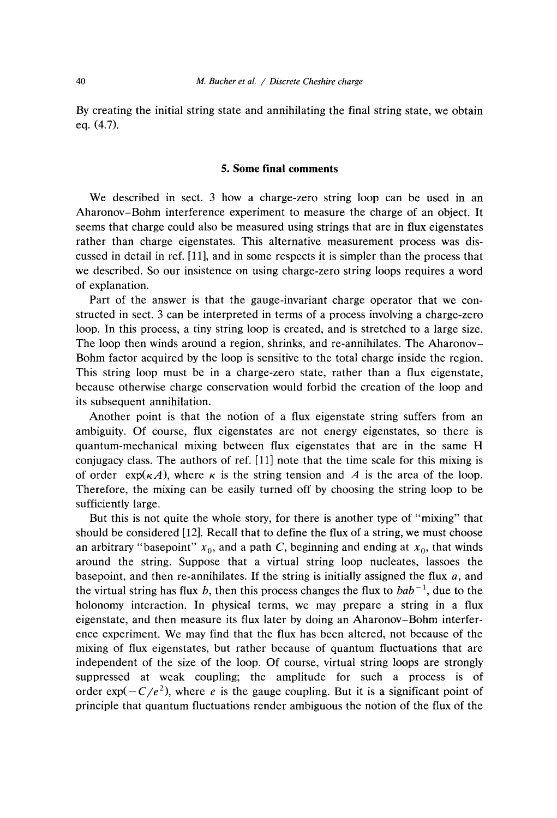By creating the initial string state and annihilating the final string state, we obtain eq. (4.7).

#### *5.* **Some final comments**

**We** described in sect. 3 how a charge-zero string loop can be used in an Aharonov—Bohm interference experiment to measure the charge of an object. It seems that charge could also be measured using strings that are in flux eigenstates rather than charge eigenstates. This alternative measurement process was discussed in detail in ref. [11], and in some respects it is simpler than the process that we described. So our insistence on using charge-zero string loops requires a word of explanation.

Part of the answer is that the gauge-invariant charge operator that we constructed in sect. 3 can be interpreted in terms of a process involving a charge-zero loop. In this process, a tiny string loop is created, and is stretched to a large size. The loop then winds around a region, shrinks, and re-annihilates. The Aharonov— Bohm factor acquired by the loop is sensitive to the total charge inside the region. This string loop must be in a charge-zero state, rather than a flux eigenstate, because otherwise charge conservation would forbid the creation of the loop and its subsequent annihilation.

Another point is that the notion of a flux eigenstate string suffers from an ambiguity. Of course, flux eigenstates are not energy eigenstates, so there is quantum-mechanical mixing between flux eigenstates that are in the same H conjugacy class. The authors of ref. [11] note that the time scale for this mixing is of order  $\exp(\kappa A)$ , where  $\kappa$  is the string tension and A is the area of the loop. Therefore, the mixing can be easily turned off by choosing the string loop to be sufficiently large.

But this is not quite the whole story, for there is another type of "mixing" that should be considered [12]. Recall that to define the flux of a string, we must choose an arbitrary "basepoint"  $x_0$ , and a path *C*, beginning and ending at  $x_0$ , that winds around the string. Suppose that a virtual string loop nucleates, lassoes the basepoint, and then re-annihilates. If the string is initially assigned the flux  $a$ , and the virtual string has flux b, then this process changes the flux to  $bab^{-1}$ , due to the holonomy interaction. In physical terms, we may prepare a string in a flux eigenstate, and then measure its flux later by doing an Aharonov—Bohm interference experiment. We may find that the flux has been altered, not because of the mixing of flux eigenstates, but rather because of quantum fluctuations that are independent of the size of the loop. Of course, virtual string loops are strongly suppressed at weak coupling; the amplitude for such a process is of  $\alpha$  density of  $C(t<sup>2</sup>)$ , where *e* is the gauge coupling. But it is a significant point of order  $\exp(-C/e^2)$ , where e is the gauge coupling. But it is a significant point of principle that quantum fluctuations render ambiguous the notion of the flux of the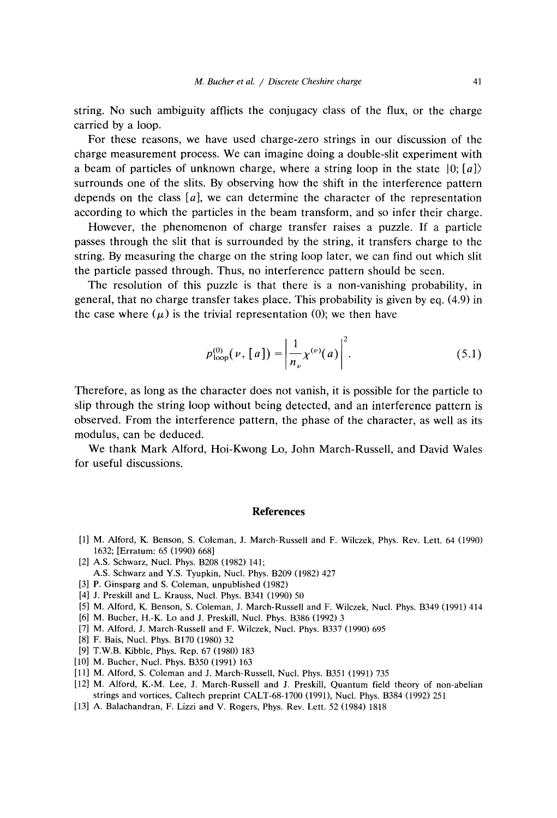string. No such ambiguity afflicts the conjugacy class of the flux, or the charge carried by a loop.

For these reasons, we have used charge-zero strings in our discussion of the charge measurement process. We can imagine doing a double-slit experiment with a beam of particles of unknown charge, where a string loop in the state 10; *[a])* surrounds one of the slits. By observing how the shift in the interference pattern depends on the class *[a],* we can determine the character of the representation according to which the particles in the beam transform, and so infer their charge.

However, the phenomenon of charge transfer raises a puzzle. If a particle passes through the slit that is surrounded by the string, it transfers charge to the string. By measuring the charge on the string loop later, we can find out which slit the particle passed through. Thus, no interference pattern should be seen.

The resolution of this puzzle is that there is a non-vanishing probability, in general, that no charge transfer takes place. This probability is given by eq. (4.9) in the case where  $(\mu)$  is the trivial representation (0); we then have

$$
p_{\text{loop}}^{(0)}(\nu, [a]) = \left| \frac{1}{n_{\nu}} \chi^{(\nu)}(a) \right|^2.
$$
 (5.1)

Therefore, as long as the character does not vanish, it is possible for the particle to slip through the string loop without being detected, and an interference pattern is observed. From the interference pattern, the phase of the character, as well as its modulus, can be deduced.

We thank Mark Alford, Hoi-Kwong Lo, John March-Russell, and David Wales for useful discussions.

### **References**

- Ill M. Alford, K. Benson, S. Coleman, J. March-Russell and F. Wilczek, Phys. Rev. Lett. 64 (1990) 1632; lErratum: 65 (1990) 668]
- [2] A.S. Schwarz, Nucl. Phys. B208 (1982) 141; AS. Schwarz and Y.S. Tyupkin, NucI. Phys. B209 (1982) 427
- [3] P. Ginsparg and S. Coleman, unpublished (1982)
- [4] J. Preskill and L. Krauss, Nuci. Phys. B341 (1990) 50
- [5] M. Alford, K. Benson, S. Coleman, J. March-Russell and F. Wilczek, NucI. Phys. B349 (1991) 414
- 16] M. Bucher, H-K. Lo and J. Preskill, NucI. Phys. B386 (1992) <sup>3</sup>
- [7] M. Alford, J. March-Russell and F. Wilczek, NucI. Phys. B337 (1990) 695
- [8] F. Bais, NucI. Phys. B170 (1980) 32
- [9] T.W.B. Kibble, Phys. Rep. 67 (1980) 183
- [10] M. Bucher, Nucl. Phys. B350 (1991) 163
- [11] M. Alford, S. Coleman and J. March-Russell, Nucl. Phys. B35] (1991) 735
- [12] M. Alford, K.-M. Lee, J. March-Russell and J. Preskill, Quantum field theory of non-abelian strings and vortices, Caltech preprint CALT-68-1700 (1991), NucI. Phys. B384 (1992) 251
- [13] A. Balachandran, F. Lizzi and V. Rogers, Phys. Rev. Lett. 52 (1984) 1818